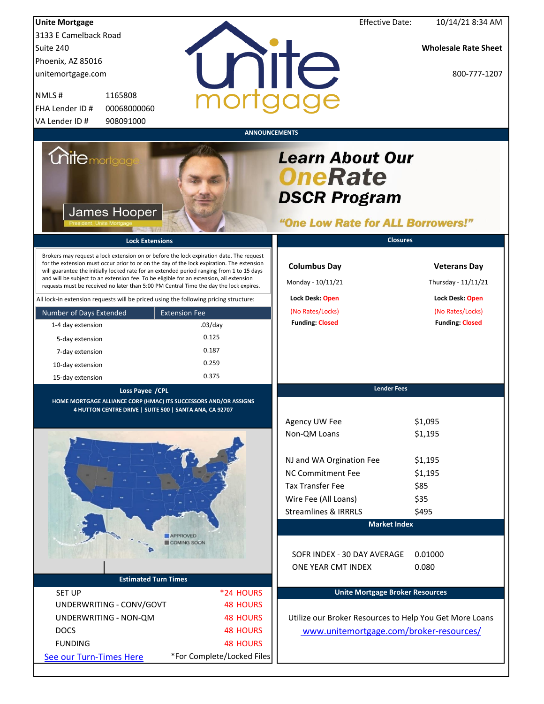| <b>Unite Mortgage</b>                      |                                                                                                                                                                                                                                                                                                                                                                                                                                                                        | <b>Effective Date:</b>                                                                               | 10/14/21 8:34 AM                           |
|--------------------------------------------|------------------------------------------------------------------------------------------------------------------------------------------------------------------------------------------------------------------------------------------------------------------------------------------------------------------------------------------------------------------------------------------------------------------------------------------------------------------------|------------------------------------------------------------------------------------------------------|--------------------------------------------|
| 3133 E Camelback Road                      |                                                                                                                                                                                                                                                                                                                                                                                                                                                                        |                                                                                                      |                                            |
| Suite 240                                  |                                                                                                                                                                                                                                                                                                                                                                                                                                                                        |                                                                                                      | <b>Wholesale Rate Sheet</b>                |
| Phoenix, AZ 85016                          |                                                                                                                                                                                                                                                                                                                                                                                                                                                                        | nite                                                                                                 |                                            |
| unitemortgage.com                          |                                                                                                                                                                                                                                                                                                                                                                                                                                                                        |                                                                                                      | 800-777-1207                               |
| 1165808<br>NMLS#                           |                                                                                                                                                                                                                                                                                                                                                                                                                                                                        |                                                                                                      |                                            |
| FHA Lender ID #<br>00068000060             |                                                                                                                                                                                                                                                                                                                                                                                                                                                                        |                                                                                                      |                                            |
| VA Lender ID #<br>908091000                |                                                                                                                                                                                                                                                                                                                                                                                                                                                                        |                                                                                                      |                                            |
|                                            |                                                                                                                                                                                                                                                                                                                                                                                                                                                                        | <b>ANNOUNCEMENTS</b>                                                                                 |                                            |
| <b>Unitemortgag</b><br><b>James Hooper</b> |                                                                                                                                                                                                                                                                                                                                                                                                                                                                        | <b>Learn About Our</b><br><b>OneRate</b><br><b>DSCR Program</b><br>"One Low Rate for ALL Borrowers!" |                                            |
|                                            | <b>Lock Extensions</b>                                                                                                                                                                                                                                                                                                                                                                                                                                                 | <b>Closures</b>                                                                                      |                                            |
|                                            | Brokers may request a lock extension on or before the lock expiration date. The request<br>for the extension must occur prior to or on the day of the lock expiration. The extension<br>will guarantee the initially locked rate for an extended period ranging from 1 to 15 days<br>and will be subject to an extension fee. To be eligible for an extension, all extension<br>requests must be received no later than 5:00 PM Central Time the day the lock expires. | <b>Columbus Day</b><br>Monday - 10/11/21                                                             | <b>Veterans Day</b><br>Thursday - 11/11/21 |
|                                            | All lock-in extension requests will be priced using the following pricing structure:                                                                                                                                                                                                                                                                                                                                                                                   | Lock Desk: Open                                                                                      | Lock Desk: Open                            |
| Number of Days Extended                    | <b>Extension Fee</b>                                                                                                                                                                                                                                                                                                                                                                                                                                                   | (No Rates/Locks)                                                                                     | (No Rates/Locks)                           |
| 1-4 day extension                          | $.03$ /day                                                                                                                                                                                                                                                                                                                                                                                                                                                             | <b>Funding: Closed</b>                                                                               | <b>Funding: Closed</b>                     |
| 5-day extension                            | 0.125                                                                                                                                                                                                                                                                                                                                                                                                                                                                  |                                                                                                      |                                            |
| 7-day extension                            | 0.187                                                                                                                                                                                                                                                                                                                                                                                                                                                                  |                                                                                                      |                                            |
| 10-day extension                           | 0.259                                                                                                                                                                                                                                                                                                                                                                                                                                                                  |                                                                                                      |                                            |
| 15-day extension                           | 0.375                                                                                                                                                                                                                                                                                                                                                                                                                                                                  |                                                                                                      |                                            |
| Loss Payee / CPL                           |                                                                                                                                                                                                                                                                                                                                                                                                                                                                        | <b>Lender Fees</b>                                                                                   |                                            |
|                                            | HOME MORTGAGE ALLIANCE CORP (HMAC) ITS SUCCESSORS AND/OR ASSIGNS<br>4 HUTTON CENTRE DRIVE   SUITE 500   SANTA ANA, CA 92707                                                                                                                                                                                                                                                                                                                                            |                                                                                                      |                                            |
|                                            |                                                                                                                                                                                                                                                                                                                                                                                                                                                                        | Agency UW Fee                                                                                        | \$1,095                                    |
|                                            |                                                                                                                                                                                                                                                                                                                                                                                                                                                                        | Non-QM Loans                                                                                         | \$1,195                                    |
|                                            |                                                                                                                                                                                                                                                                                                                                                                                                                                                                        |                                                                                                      |                                            |
|                                            |                                                                                                                                                                                                                                                                                                                                                                                                                                                                        | NJ and WA Orgination Fee                                                                             | \$1,195                                    |
|                                            |                                                                                                                                                                                                                                                                                                                                                                                                                                                                        | <b>NC Commitment Fee</b>                                                                             | \$1,195                                    |
|                                            |                                                                                                                                                                                                                                                                                                                                                                                                                                                                        | <b>Tax Transfer Fee</b>                                                                              | \$85                                       |
|                                            |                                                                                                                                                                                                                                                                                                                                                                                                                                                                        | Wire Fee (All Loans)                                                                                 | \$35                                       |
|                                            |                                                                                                                                                                                                                                                                                                                                                                                                                                                                        | <b>Streamlines &amp; IRRRLS</b>                                                                      | \$495                                      |
|                                            |                                                                                                                                                                                                                                                                                                                                                                                                                                                                        | <b>Market Index</b>                                                                                  |                                            |
|                                            | APPROVED<br>COMING SOON                                                                                                                                                                                                                                                                                                                                                                                                                                                |                                                                                                      |                                            |
|                                            |                                                                                                                                                                                                                                                                                                                                                                                                                                                                        | SOFR INDEX - 30 DAY AVERAGE                                                                          | 0.01000                                    |
|                                            |                                                                                                                                                                                                                                                                                                                                                                                                                                                                        | ONE YEAR CMT INDEX                                                                                   | 0.080                                      |
|                                            | <b>Estimated Turn Times</b>                                                                                                                                                                                                                                                                                                                                                                                                                                            |                                                                                                      |                                            |
| <b>SET UP</b>                              | *24 HOURS                                                                                                                                                                                                                                                                                                                                                                                                                                                              | <b>Unite Mortgage Broker Resources</b>                                                               |                                            |
| UNDERWRITING - CONV/GOVT                   | <b>48 HOURS</b>                                                                                                                                                                                                                                                                                                                                                                                                                                                        |                                                                                                      |                                            |
| UNDERWRITING - NON-QM                      | <b>48 HOURS</b>                                                                                                                                                                                                                                                                                                                                                                                                                                                        | Utilize our Broker Resources to Help You Get More Loans                                              |                                            |
| <b>DOCS</b>                                | <b>48 HOURS</b>                                                                                                                                                                                                                                                                                                                                                                                                                                                        | www.unitemortgage.com/broker-resources/                                                              |                                            |
| <b>FUNDING</b>                             | <b>48 HOURS</b>                                                                                                                                                                                                                                                                                                                                                                                                                                                        |                                                                                                      |                                            |
| See our Turn-Times Here                    | *For Complete/Locked Files                                                                                                                                                                                                                                                                                                                                                                                                                                             |                                                                                                      |                                            |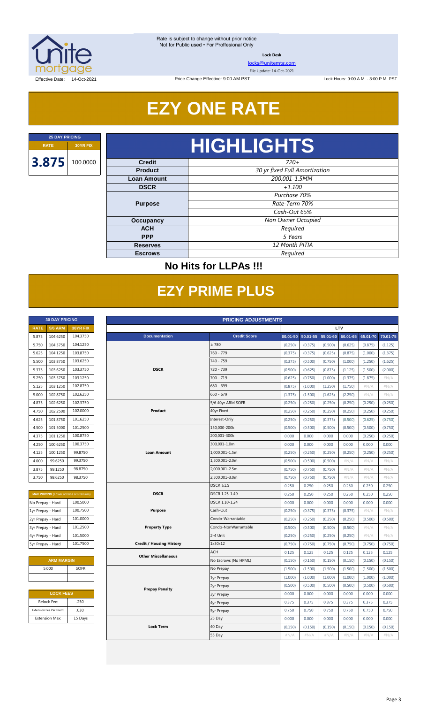

**Lock Desk**

[locks@unitemtg.com](mailto:locks@unitemtg.com)

File Update: 14-Oct-2021

Lock Hours: 9:00 A.M. - 3:00 P.M. PST

Effective Date: 14-Oct-2021

## **EZY ONE RATE**

Price Change Effective: 9:00 AM PST

# **RATE 30YR FIX HIGHLIGHTS**

| <b>Credit</b>      | $720+$                        |  |
|--------------------|-------------------------------|--|
| <b>Product</b>     | 30 yr fixed Full Amortization |  |
| <b>Loan Amount</b> | 200,001-1.5MM                 |  |
| <b>DSCR</b>        | $+1.100$                      |  |
|                    | Purchase 70%                  |  |
| <b>Purpose</b>     | Rate-Term 70%                 |  |
|                    | Cash-Out 65%                  |  |
| Occupancy          | Non Owner Occupied            |  |
| <b>ACH</b>         | Required                      |  |
| <b>PPP</b>         | 5 Years                       |  |
| <b>Reserves</b>    | 12 Month PITIA                |  |
| <b>Escrows</b>     | Required                      |  |

### **No Hits for LLPAs !!!**

## **EZY PRIME PLUS**

|             | <b>30 DAY PRICING</b> |                 |
|-------------|-----------------------|-----------------|
| <b>RATE</b> | <b>5/6 ARM</b>        | <b>30YR FIX</b> |
| 5.875       | 104.6250              | 104.3750        |
| 5.750       | 104.3750              | 104.1250        |
| 5.625       | 104.1250              | 103.8750        |
| 5.500       | 103.8750              | 103.6250        |
| 5.375       | 103.6250              | 103.3750        |
| 5.250       | 103.3750              | 103.1250        |
| 5.125       | 103.1250              | 102.8750        |
| 5.000       | 102.8750              | 102.6250        |
| 4.875       | 102.6250              | 102.3750        |
| 4.750       | 102.2500              | 102.0000        |
| 4.625       | 101.8750              | 101.6250        |
| 4.500       | 101.5000              | 101.2500        |
| 4.375       | 101.1250              | 100.8750        |
| 4.250       | 100.6250              | 100.3750        |
| 4.125       | 100.1250              | 99.8750         |
| 4.000       | 99.6250               | 99.3750         |
| 3.875       | 99.1250               | 98.8750         |
| 3.750       | 98.6250               | 98.3750         |

| <b>MAX PRICING</b> (Lower of Price or Premium) |          |  |  |  |  |
|------------------------------------------------|----------|--|--|--|--|
| No Prepay - Hard                               | 100.5000 |  |  |  |  |
| 1yr Prepay - Hard                              | 100.7500 |  |  |  |  |
| 2yr Prepay - Hard                              | 101.0000 |  |  |  |  |
| 3yr Prepay - Hard                              | 101.2500 |  |  |  |  |
| 4yr Prepay - Hard                              | 101.5000 |  |  |  |  |
| 5yr Prepay - Hard                              | 101.7500 |  |  |  |  |

| <b>ARM MARGIN</b> |             |  |  |  |  |  |
|-------------------|-------------|--|--|--|--|--|
| 5.000             | <b>SOFR</b> |  |  |  |  |  |
|                   |             |  |  |  |  |  |

| <b>LOCK FEES</b>        |         |  |  |  |  |  |  |
|-------------------------|---------|--|--|--|--|--|--|
| Relock Fee:             | .250    |  |  |  |  |  |  |
| Extension Fee Per Diem: | .030    |  |  |  |  |  |  |
| <b>Extension Max:</b>   | 15 Days |  |  |  |  |  |  |

|                   | <b>30 DAY PRICING</b><br><b>PRICING ADJUSTMENTS</b> |                                         |                                 |                      |         |                   |          |          |          |          |
|-------------------|-----------------------------------------------------|-----------------------------------------|---------------------------------|----------------------|---------|-------------------|----------|----------|----------|----------|
| <b>RATE</b>       | <b>5/6 ARM</b>                                      | 30YR FIX                                |                                 |                      |         | LTV               |          |          |          |          |
| 5.875             | 104.6250                                            | 104.3750                                | <b>Documentation</b>            | <b>Credit Score</b>  |         | 00.01-50 50.01-55 | 55.01-60 | 60.01-65 | 65.01-70 | 70.01-75 |
| 5.750             | 104.3750                                            | 104.1250                                |                                 | $\geq 780$           | (0.250) | (0.375)           | (0.500)  | (0.625)  | (0.875)  | (1.125)  |
| 5.625             | 104.1250                                            | 103.8750                                |                                 | 760 - 779            | (0.375) | (0.375)           | (0.625)  | (0.875)  | (1.000)  | (1.375)  |
| 5.500             | 103.8750                                            | 103.6250                                |                                 | 740 - 759            | (0.375) | (0.500)           | (0.750)  | (1.000)  | (1.250)  | (1.625)  |
| 5.375             | 103.6250                                            | 103.3750                                | <b>DSCR</b>                     | 720 - 739            | (0.500) | (0.625)           | (0.875)  | (1.125)  | (1.500)  | (2.000)  |
| 5.250             | 103.3750                                            | 103.1250                                |                                 | 700 - 719            | (0.625) | (0.750)           | (1.000)  | (1.375)  | (1.875)  | #N/A     |
| 5.125             | 103.1250                                            | 102.8750                                |                                 | 680 - 699            | (0.875) | (1.000)           | (1.250)  | (1.750)  | #N/A     | #N/A     |
| 5.000             | 102.8750                                            | 102.6250                                |                                 | 660 - 679            | (1.375) | (1.500)           | (1.625)  | (2.250)  | $\#N/A$  | #N/A     |
| 4.875             | 102.6250                                            | 102.3750                                |                                 | 5/6 40yr ARM SOFR    | (0.250) | (0.250)           | (0.250)  | (0.250)  | (0.250)  | (0.250)  |
| 4.750             | 102.2500                                            | 102.0000                                | Product                         | 40yr Fixed           | (0.250) | (0.250)           | (0.250)  | (0.250)  | (0.250)  | (0.250)  |
| 4.625             | 101.8750                                            | 101.6250                                |                                 | Interest-Only        | (0.250) | (0.250)           | (0.375)  | (0.500)  | (0.625)  | (0.750)  |
| 4.500             | 101.5000                                            | 101.2500                                |                                 | 150,000-200k         | (0.500) | (0.500)           | (0.500)  | (0.500)  | (0.500)  | (0.750)  |
| 4.375             | 101.1250                                            | 100.8750                                |                                 | 200,001-300k         | 0.000   | 0.000             | 0.000    | 0.000    | (0.250)  | (0.250)  |
| 4.250             | 100.6250                                            | 100.3750                                |                                 | 300,001-1.0m         | 0.000   | 0.000             | 0.000    | 0.000    | 0.000    | 0.000    |
| 4.125             | 100.1250                                            | 99.8750                                 | <b>Loan Amount</b>              | 1,000,001-1.5m       | (0.250) | (0.250)           | (0.250)  | (0.250)  | (0.250)  | (0.250)  |
| 4.000             | 99.6250                                             | 99.3750                                 |                                 | 1,500,001-2.0m       | (0.500) | (0.500)           | (0.500)  | #N/A     | #N/A     | #N/A     |
| 3.875             | 99.1250                                             | 98.8750                                 |                                 | 2,000,001-2.5m       | (0.750) | (0.750)           | (0.750)  | $\#N/A$  | #N/A     | #N/A     |
| 3.750             | 98.6250                                             | 98.3750                                 |                                 | 2,500,001-3.0m       | (0.750) | (0.750)           | (0.750)  | #N/A     | #N/A     | #N/A     |
|                   |                                                     |                                         |                                 | $DSCR \geq 1.5$      | 0.250   | 0.250             | 0.250    | 0.250    | 0.250    | 0.250    |
|                   |                                                     | MAX PRICING (Lower of Price or Premium) | <b>DSCR</b>                     | DSCR 1.25-1.49       | 0.250   | 0.250             | 0.250    | 0.250    | 0.250    | 0.250    |
| No Prepay - Hard  |                                                     | 100.5000                                |                                 | DSCR 1.10-1.24       | 0.000   | 0.000             | 0.000    | 0.000    | 0.000    | 0.000    |
| 1yr Prepay - Hard |                                                     | 100.7500                                | <b>Purpose</b>                  | Cash-Out             | (0.250) | (0.375)           | (0.375)  | (0.375)  | $\#N/A$  | #N/A     |
| 2yr Prepay - Hard |                                                     | 101.0000                                |                                 | Condo-Warrantable    | (0.250) | (0.250)           | (0.250)  | (0.250)  | (0.500)  | (0.500)  |
| 3yr Prepay - Hard |                                                     | 101.2500                                | <b>Property Type</b>            | Condo-NonWarrantable | (0.500) | (0.500)           | (0.500)  | (0.500)  | #N/A     | #N/A     |
| 4yr Prepay - Hard |                                                     | 101.5000                                |                                 | 2-4 Unit             | (0.250) | (0.250)           | (0.250)  | (0.250)  | $\#N/A$  | #N/A     |
| 5yr Prepay - Hard |                                                     | 101.7500                                | <b>Credit / Housing History</b> | 1x30x12              | (0.750) | (0.750)           | (0.750)  | (0.750)  | (0.750)  | (0.750)  |
|                   |                                                     |                                         | <b>Other Miscellaneous</b>      | <b>ACH</b>           | 0.125   | 0.125             | 0.125    | 0.125    | 0.125    | 0.125    |
|                   | <b>ARM MARGIN</b>                                   |                                         |                                 | No Escrows (No HPML) | (0.150) | (0.150)           | (0.150)  | (0.150)  | (0.150)  | (0.150)  |
|                   | 5.000                                               | SOFR                                    |                                 | No Prepay            | (1.500) | (1.500)           | (1.500)  | (1.500)  | (1.500)  | (1.500)  |
|                   |                                                     |                                         |                                 | 1yr Prepay           | (1.000) | (1.000)           | (1.000)  | (1.000)  | (1.000)  | (1.000)  |
|                   |                                                     |                                         | <b>Prepay Penalty</b>           | 2yr Prepay           | (0.500) | (0.500)           | (0.500)  | (0.500)  | (0.500)  | (0.500)  |
|                   | <b>LOCK FEES</b>                                    |                                         |                                 | <b>3yr Prepay</b>    | 0.000   | 0.000             | 0.000    | 0.000    | 0.000    | 0.000    |
|                   | Relock Fee:                                         | .250                                    |                                 | 4yr Prepay           | 0.375   | 0.375             | 0.375    | 0.375    | 0.375    | 0.375    |
|                   | Extension Fee Per Diem:                             | .030                                    |                                 | <b>5yr Prepay</b>    | 0.750   | 0.750             | 0.750    | 0.750    | 0.750    | 0.750    |
|                   | <b>Extension Max:</b>                               | 15 Days                                 |                                 | 25 Day               | 0.000   | 0.000             | 0.000    | 0.000    | 0.000    | 0.000    |
|                   |                                                     |                                         | <b>Lock Term</b>                | 40 Day               | (0.150) | (0.150)           | (0.150)  | (0.150)  | (0.150)  | (0.150)  |
|                   |                                                     |                                         |                                 | 55 Day               | $\#N/A$ | $\#N/A$           | $\#N/A$  | $\#N/A$  | $\#N/A$  | $\#N/A$  |
|                   |                                                     |                                         |                                 |                      |         |                   |          |          |          |          |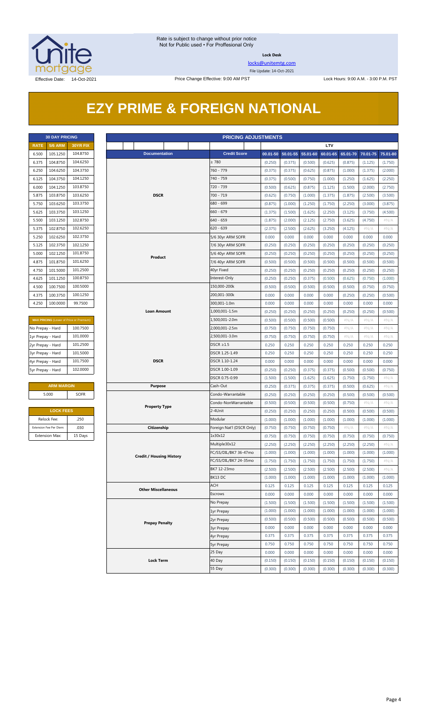

**Lock Desk**

[locks@unitemtg.com](mailto:locks@unitemtg.com) File Update: 14-Oct-2021

## **EZY PRIME & FOREIGN NATIONAL**

| <b>30 DAY PRICING</b> |                |                 |  |  |  |  |  |  |  |
|-----------------------|----------------|-----------------|--|--|--|--|--|--|--|
| <b>RATE</b>           | <b>5/6 ARM</b> | <b>30YR FIX</b> |  |  |  |  |  |  |  |
| 6.500                 | 105.1250       | 104.8750        |  |  |  |  |  |  |  |
| 6.375                 | 104.8750       | 104.6250        |  |  |  |  |  |  |  |
| 6.250                 | 104.6250       | 104.3750        |  |  |  |  |  |  |  |
| 6.125                 | 104.3750       | 104.1250        |  |  |  |  |  |  |  |
| 6.000                 | 104.1250       | 103.8750        |  |  |  |  |  |  |  |
| 5.875                 | 103.8750       | 103.6250        |  |  |  |  |  |  |  |
| 5.750                 | 103.6250       | 103.3750        |  |  |  |  |  |  |  |
| 5.625                 | 103.3750       | 103.1250        |  |  |  |  |  |  |  |
| 5.500                 | 103.1250       | 102.8750        |  |  |  |  |  |  |  |
| 5.375                 | 102.8750       | 102.6250        |  |  |  |  |  |  |  |
| 5.250                 | 102.6250       | 102.3750        |  |  |  |  |  |  |  |
| 5.125                 | 102.3750       | 102.1250        |  |  |  |  |  |  |  |
| 5.000                 | 102.1250       | 101.8750        |  |  |  |  |  |  |  |
| 4.875                 | 101.8750       | 101.6250        |  |  |  |  |  |  |  |
| 4.750                 | 101.5000       | 101.2500        |  |  |  |  |  |  |  |
| 4.625                 | 101.1250       | 100.8750        |  |  |  |  |  |  |  |
| 4.500                 | 100.7500       | 100.5000        |  |  |  |  |  |  |  |
| 4.375                 | 100.3750       | 100.1250        |  |  |  |  |  |  |  |
| 4.250                 | 100.0000       | 99.7500         |  |  |  |  |  |  |  |

| <b>MAX PRICING</b> (Lower of Price or Premium) |  |  |  |  |  |  |  |
|------------------------------------------------|--|--|--|--|--|--|--|
| 100.7500                                       |  |  |  |  |  |  |  |
| 101.0000                                       |  |  |  |  |  |  |  |
| 101.2500                                       |  |  |  |  |  |  |  |
| 101.5000                                       |  |  |  |  |  |  |  |
| 101.7500                                       |  |  |  |  |  |  |  |
| 102,0000                                       |  |  |  |  |  |  |  |
|                                                |  |  |  |  |  |  |  |

#### **ARM MARGIN Purpose** Cash-Out 5.000 SOFR

| <b>LOCK FEES</b>        |         |  |  |  |  |  |  |
|-------------------------|---------|--|--|--|--|--|--|
| Relock Fee:             | .250    |  |  |  |  |  |  |
| Extension Fee Per Diem: | .030    |  |  |  |  |  |  |
| <b>Extension Max:</b>   | 15 Days |  |  |  |  |  |  |

|                   | <b>30 DAY PRICING</b><br><b>PRICING ADJUSTMENTS</b> |                                                |                                 |  |                                  |                    |                       |                    |                    |                    |                    |                 |
|-------------------|-----------------------------------------------------|------------------------------------------------|---------------------------------|--|----------------------------------|--------------------|-----------------------|--------------------|--------------------|--------------------|--------------------|-----------------|
| <b>RATE</b>       | <b>5/6 ARM</b>                                      | 30YR FIX                                       |                                 |  |                                  |                    |                       |                    | LTV                |                    |                    |                 |
| 6.500             | 105.1250                                            | 104.8750                                       | <b>Documentation</b>            |  | <b>Credit Score</b>              |                    | $00.01 - 50$ 50.01-55 | 55.01-60           | 60.01-65           | 65.01-70           | 70.01-75           | 75.01-80        |
| 6.375             | 104.8750                                            | 104.6250                                       |                                 |  |                                  | (0.250)            | (0.375)               | (0.500)            | (0.625)            | (0.875)            | (1.125)            | (1.750)         |
| 6.250             | 104.6250                                            | 104.3750                                       |                                 |  |                                  | (0.375)            | (0.375)               | (0.625)            | (0.875)            | (1.000)            | (1.375)            | (2.000)         |
| 6.125             | 104.3750                                            | 104.1250                                       |                                 |  | 740 - 759                        | (0.375)            | (0.500)               | (0.750)            | (1.000)            | (1.250)            | (1.625)            | (2.250)         |
| 6.000             | 104.1250                                            | 103.8750                                       |                                 |  | 720 - 739                        | (0.500)            | (0.625)               | (0.875)            | (1.125)            | (1.500)            | (2.000)            | (2.750)         |
| 5.875             | 103.8750                                            | 103.6250                                       | <b>DSCR</b>                     |  | 700 - 719                        | (0.625)            | (0.750)               | (1.000)            | (1.375)            | (1.875)            | (2.500)            | (3.500)         |
| 5.750             | 103.6250                                            | 103.3750                                       |                                 |  | 680 - 699                        | (0.875)            | (1.000)               | (1.250)            | (1.750)            | (2.250)            | (3.000)            | (3.875)         |
| 5.625             | 103.3750                                            | 103.1250                                       |                                 |  | $660 - 679$                      | (1.375)            | (1.500)               | (1.625)            | (2.250)            | (3.125)            | (3.750)            | (4.500)         |
| 5.500             | 103.1250                                            | 102.8750                                       |                                 |  | 640 - 659                        | (1.875)            | (2.000)               | (2.125)            | (2.750)            | (3.625)            | (4.750)            | $\#N/A$         |
| 5.375             | 102.8750                                            | 102.6250                                       |                                 |  | $620 - 639$                      | (2.375)            | (2.500)               | (2.625)            | (3.250)            | (4.125)            | #N/A               | $\#N/A$         |
| 5.250             | 102.6250                                            | 102.3750                                       |                                 |  | 5/6 30yr ARM SOFR                | 0.000              | 0.000                 | 0.000              | 0.000              | 0.000              | 0.000              | 0.000           |
| 5.125             | 102.3750                                            | 102.1250                                       |                                 |  | 7/6 30yr ARM SOFR                | (0.250)            | (0.250)               | (0.250)            | (0.250)            | (0.250)            | (0.250)            | (0.250)         |
| 5.000             | 102.1250                                            | 101.8750                                       | Product                         |  | 5/6 40yr ARM SOFR                | (0.250)            | (0.250)               | (0.250)            | (0.250)            | (0.250)            | (0.250)            | (0.250)         |
| 4.875             | 101.8750                                            | 101.6250                                       |                                 |  | 7/6 40yr ARM SOFR                | (0.500)            | (0.500)               | (0.500)            | (0.500)            | (0.500)            | (0.500)            | (0.500)         |
| 4.750             | 101.5000                                            | 101.2500                                       |                                 |  | 40yr Fixed                       | (0.250)            | (0.250)               | (0.250)            | (0.250)            | (0.250)            | (0.250)            | (0.250)         |
| 4.625             | 101.1250                                            | 100.8750                                       |                                 |  | Interest-Only                    | (0.250)            | (0.250)               | (0.375)            | (0.500)            | (0.625)            | (0.750)            | (1.000)         |
| 4.500             | 100.7500                                            | 100.5000                                       |                                 |  | 150,000-200k                     | (0.500)            | (0.500)               | (0.500)            | (0.500)            | (0.500)            | (0.750)            | (0.750)         |
| 4.375             | 100.3750                                            | 100.1250                                       |                                 |  | 200,001-300k                     | 0.000              | 0.000                 | 0.000              | 0.000              | (0.250)            | (0.250)            | (0.500)         |
| 4.250             | 100.0000                                            | 99.7500                                        |                                 |  | 300,001-1.0m                     | 0.000              | 0.000                 | 0.000              | 0.000              | 0.000              | 0.000              | 0.000           |
|                   |                                                     |                                                | Loan Amount                     |  | 1,000,001-1.5m                   | (0.250)            | (0.250)               | (0.250)            | (0.250)            | (0.250)            | (0.250)            | (0.500)         |
|                   |                                                     | <b>MAX PRICING</b> (Lower of Price or Premium) |                                 |  | 1,500,001-2.0m                   | (0.500)            | (0.500)               | (0.500)            | (0.500)            | $\#N/A$            | #N/A               | #N/A            |
| No Prepay - Hard  |                                                     | 100.7500                                       |                                 |  | 2,000,001-2.5m                   | (0.750)            | (0.750)               | (0.750)            | (0.750)            | $\#N/A$            | #N/A               | $\#N/A$         |
| 1yr Prepay - Hard |                                                     | 101.0000                                       |                                 |  | 2,500,001-3.0m                   | (0.750)            | (0.750)               | (0.750)            | (0.750)            | $\#N/A$            | $\#N/A$            | $\#N/A$         |
| 2yr Prepay - Hard |                                                     | 101.2500                                       |                                 |  | DSCR $\geq$ 1.5                  | 0.250              | 0.250                 | 0.250              | 0.250              | 0.250              | 0.250              | 0.250           |
| 3yr Prepay - Hard |                                                     | 101.5000                                       |                                 |  | DSCR 1.25-1.49                   | 0.250              | 0.250                 | 0.250              | 0.250              | 0.250              | 0.250              | 0.250           |
| 4yr Prepay - Hard |                                                     | 101.7500                                       | <b>DSCR</b>                     |  | DSCR 1.10-1.24<br>DSCR 1.00-1.09 | 0.000              | 0.000                 | 0.000              | 0.000              | 0.000              | 0.000              | 0.000           |
| 5yr Prepay - Hard |                                                     | 102.0000                                       |                                 |  |                                  | (0.250)            | (0.250)               | (0.375)            | (0.375)            | (0.500)            | (0.500)            | (0.750)         |
|                   |                                                     |                                                |                                 |  | DSCR 0.75-0.99                   | (1.500)            | (1.500)               | (1.625)            | (1.625)            | (1.750)            | (1.750)            | $\#N/A$         |
|                   | <b>ARM MARGIN</b>                                   |                                                | <b>Purpose</b>                  |  | Cash-Out                         | (0.250)            | (0.375)               | (0.375)            | (0.375)            | (0.500)            | (0.625)            | $\#N/A$         |
|                   | 5.000                                               | SOFR                                           |                                 |  | Condo-Warrantable                | (0.250)            | (0.250)               | (0.250)            | (0.250)            | (0.500)            | (0.500)            | (0.500)         |
|                   |                                                     |                                                | <b>Property Type</b>            |  | Condo-NonWarrantable             | (0.500)            | (0.500)               | (0.500)            | (0.500)            | (0.750)            | $\#N/A$            | #N/A            |
|                   | <b>LOCK FEES</b>                                    |                                                |                                 |  | 2-4Unit                          | (0.250)            | (0.250)               | (0.250)            | (0.250)            | (0.500)            | (0.500)            | (0.500)         |
|                   | Relock Fee:<br>Extension Fee Per Diem:              | .250<br>.030                                   |                                 |  | Modular                          | (1.000)            | (1.000)               | (1.000)            | (1.000)            | (1.000)            | (1.000)            | (1.000)         |
|                   |                                                     |                                                | Citizenship                     |  | Foreign Nat'l (DSCR Only)        | (0.750)            | (0.750)               | (0.750)            | (0.750)            | #N/A               | $\#N/A$            | $\#N/A$         |
|                   | Extension Max:                                      | 15 Days                                        |                                 |  | 1x30x12<br>Multiple30x12         | (0.750)<br>(2.250) | (0.750)<br>(2.250)    | (0.750)<br>(2.250) | (0.750)<br>(2.250) | (0.750)<br>(2.250) | (0.750)<br>(2.250) | (0.750)<br>#N/A |
|                   |                                                     |                                                |                                 |  | FC/SS/DIL/BK7 36-47mo            | (1.000)            | (1.000)               | (1.000)            | (1.000)            | (1.000)            | (1.000)            | (1.000)         |
|                   |                                                     |                                                | <b>Credit / Housing History</b> |  | FC/SS/DIL/BK7 24-35mo            | (1.750)            | (1.750)               | (1.750)            | (1.750)            | (1.750)            | (1.750)            | $\#N/A$         |
|                   |                                                     |                                                |                                 |  | BK7 12-23mo                      | (2.500)            | (2.500)               | (2.500)            | (2.500)            | (2.500)            | (2.500)            | # $N/A$         |
|                   |                                                     |                                                |                                 |  | BK13 DC                          | (1.000)            | (1.000)               | (1.000)            | (1.000)            | (1.000)            | (1.000)            | (1.000)         |
|                   |                                                     |                                                |                                 |  | ACH                              | 0.125              | 0.125                 | 0.125              | 0.125              | 0.125              | 0.125              | 0.125           |
|                   |                                                     |                                                | <b>Other Miscellaneous</b>      |  | Escrows                          | 0.000              | 0.000                 | 0.000              | 0.000              | 0.000              | 0.000              | 0.000           |
|                   |                                                     |                                                |                                 |  | No Prepay                        | (1.500)            | (1.500)               | (1.500)            | (1.500)            | (1.500)            | (1.500)            | (1.500)         |
|                   |                                                     |                                                |                                 |  | 1yr Prepay                       | (1.000)            | (1.000)               | (1.000)            | (1.000)            | (1.000)            | (1.000)            | (1.000)         |
|                   |                                                     |                                                |                                 |  | 2yr Prepay                       | (0.500)            | (0.500)               | (0.500)            | (0.500)            | (0.500)            | (0.500)            | (0.500)         |
|                   |                                                     |                                                | <b>Prepay Penalty</b>           |  | <b>3yr Prepay</b>                | 0.000              | 0.000                 | 0.000              | 0.000              | 0.000              | 0.000              | 0.000           |
|                   |                                                     |                                                |                                 |  | 4yr Prepay                       | 0.375              | 0.375                 | 0.375              | 0.375              | 0.375              | 0.375              | 0.375           |
|                   |                                                     |                                                |                                 |  | <b>5yr Prepay</b>                | 0.750              | 0.750                 | 0.750              | 0.750              | 0.750              | 0.750              | 0.750           |
|                   |                                                     |                                                |                                 |  | 25 Day                           | 0.000              | 0.000                 | 0.000              | 0.000              | 0.000              | 0.000              | 0.000           |
|                   |                                                     |                                                | <b>Lock Term</b>                |  | 40 Day                           | (0.150)            | (0.150)               | (0.150)            | (0.150)            | (0.150)            | (0.150)            | (0.150)         |
|                   |                                                     |                                                |                                 |  | 55 Day                           | (0.300)            | (0.300)               | (0.300)            | (0.300)            | (0.300)            | (0.300)            | (0.300)         |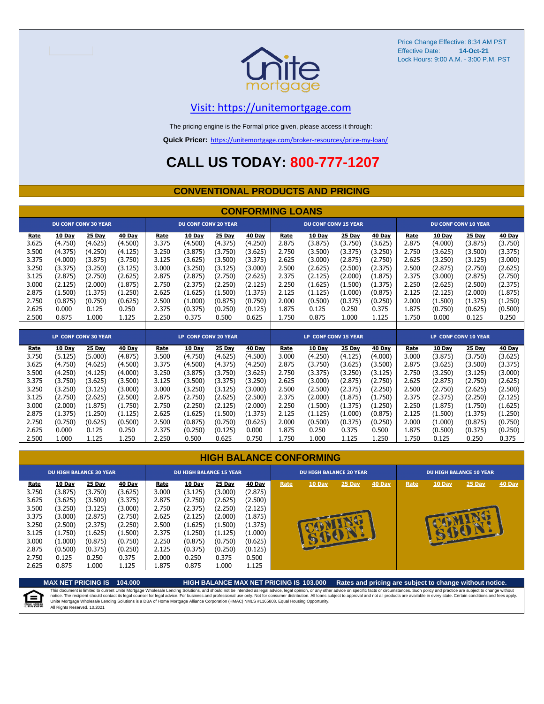

Price Change Effective: 8:34 AM PST Effective Date: Lock Hours: 9:00 A.M. - 3:00 P.M. PST **14-Oct-21**

#### [V](https://unitemortgage.com/)isit: https://unitemortgage.com

The pricing engine is the Formal price given, please access it through:

**Quick Pricer:** [https://un](https://unitemortgage.com/broker-resources/price-my-loan/)itemortgage.com/broker-resources/price-my-loan/

## **CALL US TODAY: 800-777-1207**

#### **CONVENTIONAL PRODUCTS AND PRICING**

|       | <b>CONFORMING LOANS</b> |                             |               |       |                             |               |               |                             |                             |               |               |       |               |                             |               |  |  |
|-------|-------------------------|-----------------------------|---------------|-------|-----------------------------|---------------|---------------|-----------------------------|-----------------------------|---------------|---------------|-------|---------------|-----------------------------|---------------|--|--|
|       |                         | <b>DU CONF CONV 30 YEAR</b> |               |       | <b>DU CONF CONV 20 YEAR</b> |               |               |                             | <b>DU CONF CONV 15 YEAR</b> |               |               |       |               | <b>DU CONF CONV 10 YEAR</b> |               |  |  |
| Rate  | <b>10 Day</b>           | 25 Day                      | <b>40 Day</b> | Rate  | <b>10 Day</b>               | <b>25 Day</b> | <b>40 Day</b> | Rate                        | <b>10 Day</b>               | 25 Day        | <b>40 Day</b> | Rate  | 10 Day        | <b>25 Day</b>               | <b>40 Day</b> |  |  |
| 3.625 | (4.750)                 | (4.625)                     | (4.500)       | 3.375 | (4.500)                     | (4.375)       | (4.250)       | 2.875                       | (3.875)                     | (3.750)       | (3.625)       | 2.875 | (4.000)       | (3.875)                     | (3.750)       |  |  |
| 3.500 | (4.375)                 | (4.250)                     | (4.125)       | 3.250 | (3.875)                     | (3.750)       | (3.625)       | 2.750                       | (3.500)                     | (3.375)       | (3.250)       | 2.750 | (3.625)       | (3.500)                     | (3.375)       |  |  |
| 3.375 | (4.000)                 | (3.875)                     | (3.750)       | 3.125 | (3.625)                     | (3.500)       | (3.375)       | 2.625                       | (3.000)                     | (2.875)       | (2.750)       | 2.625 | (3.250)       | (3.125)                     | (3.000)       |  |  |
| 3.250 | (3.375)                 | (3.250)                     | (3.125)       | 3.000 | (3.250)                     | (3.125)       | (3.000)       | 2.500                       | (2.625)                     | (2.500)       | (2.375)       | 2.500 | (2.875)       | (2.750)                     | (2.625)       |  |  |
| 3.125 | (2.875)                 | (2.750)                     | (2.625)       | 2.875 | (2.875)                     | (2.750)       | (2.625)       | 2.375                       | (2.125)                     | (2.000)       | (1.875)       | 2.375 | (3.000)       | (2.875)                     | (2.750)       |  |  |
| 3.000 | (2.125)                 | (2.000)                     | (1.875)       | 2.750 | (2.375)                     | (2.250)       | (2.125)       | 2.250                       | (1.625)                     | (1.500)       | (1.375)       | 2.250 | (2.625)       | (2.500)                     | (2.375)       |  |  |
| 2.875 | (1.500)                 | (1.375)                     | (1.250)       | 2.625 | (1.625)                     | (1.500)       | (1.375)       | 2.125                       | (1.125)                     | (1.000)       | (0.875)       | 2.125 | (2.125)       | (2.000)                     | (1.875)       |  |  |
| 2.750 | (0.875)                 | (0.750)                     | (0.625)       | 2.500 | (1.000)                     | (0.875)       | (0.750)       | 2.000                       | (0.500)                     | (0.375)       | (0.250)       | 2.000 | (1.500)       | (1.375)                     | (1.250)       |  |  |
| 2.625 | 0.000                   | 0.125                       | 0.250         | 2.375 | (0.375)                     | (0.250)       | (0.125)       | 1.875                       | 0.125                       | 0.250         | 0.375         | 1.875 | (0.750)       | (0.625)                     | (0.500)       |  |  |
| 2.500 | 0.875                   | 1.000                       | 1.125         | 2.250 | 0.375                       | 0.500         | 0.625         | 1.750                       | 0.875                       | 1.000         | 1.125         | 1.750 | 0.000         | 0.125                       | 0.250         |  |  |
|       |                         |                             |               |       |                             |               |               |                             |                             |               |               |       |               |                             |               |  |  |
|       |                         | <b>LP CONF CONV 30 YEAR</b> |               |       | <b>LP CONF CONV 20 YEAR</b> |               |               | <b>LP CONF CONV 15 YEAR</b> |                             |               |               |       |               | <b>LP CONF CONV 10 YEAR</b> |               |  |  |
| Rate  | 10 Day                  | $25$ Day                    | 40 Day        | Rate  | 10 Day                      | 25 Day        | 40 Day        | Rate                        | 10 Day                      | <b>25 Day</b> | 40 Day        | Rate  | <b>10 Day</b> | <b>25 Day</b>               | <b>40 Day</b> |  |  |
| 3.750 | (5.125)                 | (5.000)                     | (4.875)       | 3.500 | (4.750)                     | (4.625)       | (4.500)       | 3.000                       | (4.250)                     | (4.125)       | (4.000)       | 3.000 | (3.875)       | (3.750)                     | (3.625)       |  |  |
| 3.625 | (4.750)                 | (4.625)                     | (4.500)       | 3.375 | (4.500)                     | (4.375)       | (4.250)       | 2.875                       | (3.750)                     | (3.625)       | (3.500)       | 2.875 | (3.625)       | (3.500)                     | (3.375)       |  |  |
| 3.500 | (4.250)                 | (4.125)                     | (4.000)       | 3.250 | (3.875)                     | (3.750)       | (3.625)       | 2.750                       | (3.375)                     | (3.250)       | (3.125)       | 2.750 | (3.250)       | (3.125)                     | (3.000)       |  |  |
| 3.375 | (3.750)                 | (3.625)                     | (3.500)       | 3.125 | (3.500)                     | (3.375)       | (3.250)       | 2.625                       | (3.000)                     | (2.875)       | (2.750)       | 2.625 | (2.875)       | (2.750)                     | (2.625)       |  |  |
| 3.250 | (3.250)                 | (3.125)                     | (3.000)       | 3.000 | (3.250)                     | (3.125)       | (3.000)       | 2.500                       | (2.500)                     | (2.375)       | (2.250)       | 2.500 | (2.750)       | (2.625)                     | (2.500)       |  |  |
| 3.125 | (2.750)                 | (2.625)                     | (2.500)       | 2.875 | (2.750)                     | (2.625)       | (2.500)       | 2.375                       | (2.000)                     | (1.875)       | (1.750)       | 2.375 | (2.375)       | (2.250)                     | (2.125)       |  |  |
| 3.000 | (2.000)                 | (1.875)                     | (1.750)       | 2.750 | (2.250)                     | (2.125)       | (2.000)       | 2.250                       | (1.500)                     | (1.375)       | (1.250)       | 2.250 | (1.875)       | (1.750)                     | (1.625)       |  |  |

|  | <b>HIGH BALANCE CONFORMING</b> |
|--|--------------------------------|
|  |                                |

2.875 (1.375) (1.250) (1.125) 2.625 (1.625) (1.500) (1.375) 2.125 (1.125) (1.000) (0.875) 2.125 (1.500) (1.375) (1.250) 2.750 (0.750) (0.625) (0.500) 2.500 (0.875) (0.750) (0.625) 2.000 (0.500) (0.375) (0.250) 2.000 (1.000) (0.875) (0.750) 2.625 0.000 0.125 0.250 2.375 (0.250) (0.125) 0.000 1.875 0.250 0.375 0.500 1.875 (0.500) (0.375) (0.250) 2.500 1.000 1.125 1.250 2.250 0.500 0.625 0.750 1.750 1.000 1.125 1.250 1.750 0.125 0.250 0.375

|                                                                              | <b>DU HIGH BALANCE 30 YEAR</b>                                                                 |                                                                                                |                                                                                                |                                                                              | <b>DU HIGH BALANCE 15 YEAR</b>                                                                 |                                                                                                |                                                                                                | <b>DU HIGH BALANCE 20 YEAR</b> |                        |              |        | DU HIGH BALANCE 10 YEAR |                     |          |               |  |
|------------------------------------------------------------------------------|------------------------------------------------------------------------------------------------|------------------------------------------------------------------------------------------------|------------------------------------------------------------------------------------------------|------------------------------------------------------------------------------|------------------------------------------------------------------------------------------------|------------------------------------------------------------------------------------------------|------------------------------------------------------------------------------------------------|--------------------------------|------------------------|--------------|--------|-------------------------|---------------------|----------|---------------|--|
| Rate<br>3.750<br>3.625<br>3.500<br>3.375<br>3.250<br>3.125<br>3.000<br>2.875 | 10 Day<br>(3.875)<br>(3.625)<br>(3.250)<br>(3.000)<br>(2.500)<br>(1.750)<br>(1.000)<br>(0.500) | 25 Day<br>(3.750)<br>(3.500)<br>(3.125)<br>(2.875)<br>(2.375)<br>(1.625)<br>(0.875)<br>(0.375) | 40 Day<br>(3.625)<br>(3.375)<br>(3.000)<br>(2.750)<br>(2.250)<br>(1.500)<br>(0.750)<br>(0.250) | Rate<br>3.000<br>2.875<br>2.750<br>2.625<br>2.500<br>2.375<br>2.250<br>2.125 | 10 Day<br>(3.125)<br>(2.750)<br>(2.375)<br>(2.125)<br>(1.625)<br>(1.250)<br>(0.875)<br>(0.375) | 25 Day<br>(3.000)<br>(2.625)<br>(2.250)<br>(2.000)<br>(1.500)<br>(1.125)<br>(0.750)<br>(0.250) | 40 Day<br>(2.875)<br>(2.500)<br>(2.125)<br>(1.875)<br>(1.375)<br>(1.000)<br>(0.625)<br>(0.125) | Rate                           | 10 Day<br><b>SUCIL</b> | 25 Day<br>с. | 40 Day | Rate                    | 10 Day<br><b>EV</b> | $25$ Day | <b>40 Day</b> |  |
| 2.750<br>2.625                                                               | 0.125<br>0.875                                                                                 | 0.250<br>L.000                                                                                 | 0.375<br>1.125                                                                                 | 2.000<br>1.875                                                               | 0.250<br>0.875                                                                                 | 0.375<br>1.000                                                                                 | 0.500<br>1.125                                                                                 |                                |                        |              |        |                         |                     |          |               |  |

**MAX NET PRICING IS 104.000 HIGH BALANCE MAX NET PRICING IS 103.000 Rates and pricing are subject to change without notice.** This document is limited to current Unite Mortgage Wholesale Lending Solutions, and should not be intended as legal advice, legal opinion, or any other advice on specific facts or circumstances. Such policy and practice ar 自 All Rights Reserved. 10.2021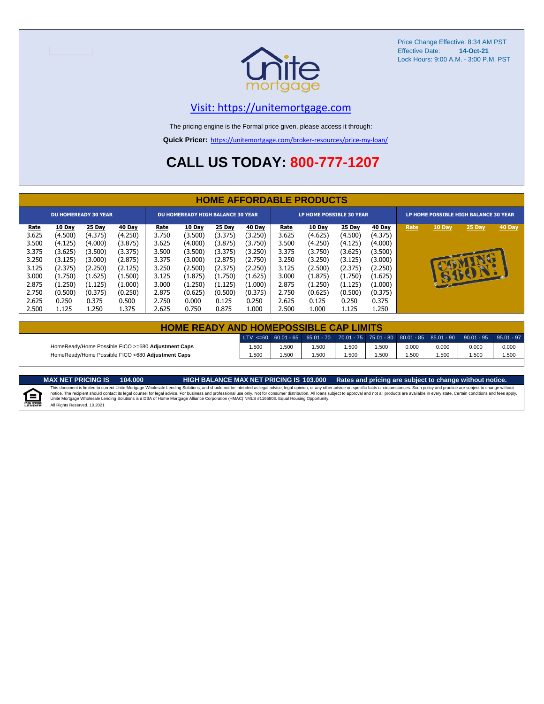

Price Change Effective: 8:34 AM PST Effective Date: **14-Oct-21** Lock Hours: 9:00 A.M. - 3:00 P.M. PST

#### [V](https://unitemortgage.com/)isit: https://unitemortgage.com

The pricing engine is the Formal price given, please access it through:

**Quick Pricer:** [https://un](https://unitemortgage.com/broker-resources/price-my-loan/)itemortgage.com/broker-resources/price-my-loan/

## **CALL US TODAY: 800-777-1207**

|             | <b>HOME AFFORDABLE PRODUCTS</b> |         |         |             |                                          |         |         |             |                                 |         |         |      |                                       |        |        |  |
|-------------|---------------------------------|---------|---------|-------------|------------------------------------------|---------|---------|-------------|---------------------------------|---------|---------|------|---------------------------------------|--------|--------|--|
|             | <b>DU HOMEREADY 30 YEAR</b>     |         |         |             | <b>DU HOMEREADY HIGH BALANCE 30 YEAR</b> |         |         |             | <b>LP HOME POSSIBLE 30 YEAR</b> |         |         |      | LP HOME POSSIBLE HIGH BALANCE 30 YEAR |        |        |  |
| <u>Rate</u> | 10 Day                          | 25 Day  | 40 Day  | <u>Rate</u> | <b>10 Day</b>                            | 25 Day  | 40 Day  | <u>Rate</u> | <b>10 Day</b>                   | 25 Day  | 40 Day  | Rate | 10 Day                                | 25 Day | 40 Day |  |
| 3.625       | (4.500)                         | (4.375) | (4.250) | 3.750       | (3.500)                                  | (3.375) | (3.250) | 3.625       | (4.625)                         | (4.500) | (4.375) |      |                                       |        |        |  |
| 3.500       | (4.125)                         | (4.000) | (3.875) | 3.625       | (4.000)                                  | (3.875) | (3.750) | 3.500       | (4.250)                         | (4.125) | (4.000) |      |                                       |        |        |  |
| 3.375       | (3.625)                         | (3.500) | (3.375) | 3.500       | (3.500)                                  | (3.375) | (3.250) | 3.375       | (3.750)                         | (3.625) | (3.500) |      |                                       |        |        |  |
| 3.250       | (3.125)                         | (3.000) | (2.875) | 3.375       | (3.000)                                  | (2.875) | (2.750) | 3.250       | (3.250)                         | (3.125) | (3.000) |      |                                       |        |        |  |
| 3.125       | (2.375)                         | (2.250) | (2.125) | 3.250       | (2.500)                                  | (2.375) | (2.250) | 3.125       | (2.500)                         | (2.375) | (2.250) |      |                                       |        |        |  |
| 3.000       | (1.750)                         | (1.625) | (1.500) | 3.125       | (1.875)                                  | (1.750) | (1.625) | 3.000       | (1.875)                         | (1.750) | (1.625) |      | $\mathbf{F}$                          | SSSST  |        |  |
| 2.875       | (1.250)                         | (1.125) | (1.000) | 3.000       | (1.250)                                  | (1.125) | (1.000) | 2.875       | (1.250)                         | (1.125) | (1.000) |      |                                       |        |        |  |
| 2.750       | (0.500)                         | (0.375) | (0.250) | 2.875       | (0.625)                                  | (0.500) | (0.375) | 2.750       | (0.625)                         | (0.500) | (0.375) |      |                                       |        |        |  |
| 2.625       | 0.250                           | 0.375   | 0.500   | 2.750       | 0.000                                    | 0.125   | 0.250   | 2.625       | 0.125                           | 0.250   | 0.375   |      |                                       |        |        |  |
| 2.500       | 1.125                           | 1.250   | 1.375   | 2.625       | 0.750                                    | 0.875   | 1.000   | 2.500       | 1.000                           | 1.125   | 1.250   |      |                                       |        |        |  |

| <b>HOME READY AND HOMEPOSSIBLE CAP LIMITS</b>      |      |      |       |      |      |       |       |                                                                                             |               |  |  |  |
|----------------------------------------------------|------|------|-------|------|------|-------|-------|---------------------------------------------------------------------------------------------|---------------|--|--|--|
|                                                    |      |      |       |      |      |       |       | LTV $\leq$ =60 60.01 - 65 65.01 - 70 70.01 - 75 75.01 - 80 80.01 - 85 85.01 - 90 90.01 - 95 | $95.01 - 971$ |  |  |  |
| HomeReady/Home Possible FICO >=680 Adjustment Caps | .500 | .500 | 1.500 | .500 | .500 | 0.000 | 0.000 | 0.000                                                                                       | 0.000         |  |  |  |
| HomeReady/Home Possible FICO <680 Adjustment Caps  | .500 | .500 | 1.500 | .500 | .500 | .500  | .500  | .500                                                                                        | 1.500         |  |  |  |

MAX NET PRICING IS 103.000 Rates and pricing are subject to change without notice.<br>This document is limited to current Unite Mortgage Wholesale Lending Solutions, and should not be intended as legal advice, legal opinion,

All Rights Reserved. 10.2021

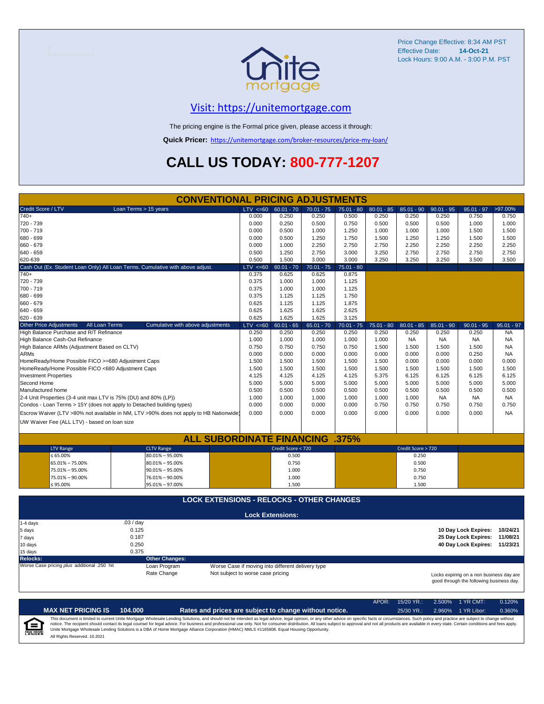

Price Change Effective: 8:34 AM PST Effective Date: **14-Oct-21** Lock Hours: 9:00 A.M. - 3:00 P.M. PST

#### [V](https://unitemortgage.com/)isit: https://unitemortgage.com

The pricing engine is the Formal price given, please access it through:

**Quick Pricer:** [https://un](https://unitemortgage.com/broker-resources/price-my-loan/)itemortgage.com/broker-resources/price-my-loan/

## **CALL US TODAY: 800-777-1207**

|                                                                       | <b>CONVENTIONAL PRICING ADJUSTMENTS</b>                                                |                                   |                                                   |              |              |              |                    |              |                                                                                      |              |  |  |  |
|-----------------------------------------------------------------------|----------------------------------------------------------------------------------------|-----------------------------------|---------------------------------------------------|--------------|--------------|--------------|--------------------|--------------|--------------------------------------------------------------------------------------|--------------|--|--|--|
| Credit Score / LTV                                                    | Loan Terms > 15 years                                                                  | LTV < 60                          | $60.01 - 70$                                      | $70.01 - 75$ | $75.01 - 80$ | $80.01 - 85$ | $85.01 - 90$       | $90.01 - 95$ | $95.01 - 97$                                                                         | >97.00%      |  |  |  |
| $740+$                                                                |                                                                                        | 0.000                             | 0.250                                             | 0.250        | 0.500        | 0.250        | 0.250              | 0.250        | 0.750                                                                                | 0.750        |  |  |  |
| 720 - 739                                                             |                                                                                        | 0.000                             | 0.250                                             | 0.500        | 0.750        | 0.500        | 0.500              | 0.500        | 1.000                                                                                | 1.000        |  |  |  |
| 700 - 719                                                             |                                                                                        | 0.000                             | 0.500                                             | 1.000        | 1.250        | 1.000        | 1.000              | 1.000        | 1.500                                                                                | 1.500        |  |  |  |
| 680 - 699                                                             |                                                                                        | 0.000                             | 0.500                                             | 1.250        | 1.750        | 1.500        | 1.250              | 1.250        | 1.500                                                                                | 1.500        |  |  |  |
| 660 - 679                                                             |                                                                                        | 0.000                             | 1.000                                             | 2.250        | 2.750        | 2.750        | 2.250              | 2.250        | 2.250                                                                                | 2.250        |  |  |  |
| $640 - 659$                                                           |                                                                                        | 0.500                             | 1.250                                             | 2.750        | 3.000        | 3.250        | 2.750              | 2.750        | 2.750                                                                                | 2.750        |  |  |  |
| 620-639                                                               |                                                                                        | 0.500                             | 1.500                                             | 3.000        | 3.000        | 3.250        | 3.250              | 3.250        | 3.500                                                                                | 3.500        |  |  |  |
|                                                                       | Cash Out (Ex. Student Loan Only) All Loan Terms. Cumulative with above adjust.         | $LTV < =60$                       | $60.01 - 70$                                      | $70.01 - 75$ | $75.01 - 80$ |              |                    |              |                                                                                      |              |  |  |  |
| $740+$                                                                |                                                                                        | 0.375                             | 0.625                                             | 0.625        | 0.875        |              |                    |              |                                                                                      |              |  |  |  |
| 720 - 739                                                             |                                                                                        | 0.375                             | 1.000                                             | 1.000        | 1.125        |              |                    |              |                                                                                      |              |  |  |  |
| 700 - 719                                                             |                                                                                        | 0.375                             | 1.000                                             | 1.000        | 1.125        |              |                    |              |                                                                                      |              |  |  |  |
| 680 - 699                                                             |                                                                                        | 0.375                             | 1.125                                             | 1.125        | 1.750        |              |                    |              |                                                                                      |              |  |  |  |
| 660 - 679                                                             |                                                                                        | 0.625                             | 1.125                                             | 1.125        | 1.875        |              |                    |              |                                                                                      |              |  |  |  |
| 640 - 659                                                             |                                                                                        | 0.625                             | 1.625                                             | 1.625        | 2.625        |              |                    |              |                                                                                      |              |  |  |  |
| 620 - 639                                                             |                                                                                        | 0.625                             | 1.625                                             | 1.625        | 3.125        |              |                    |              |                                                                                      |              |  |  |  |
| <b>Other Price Adjustments</b><br>All Loan Terms                      | Cumulative with above adjustments                                                      | $LTV < =60$                       | $60.01 - 65$                                      | $65.01 - 70$ | $70.01 - 75$ | $75.01 - 80$ | $80.01 - 85$       | $85.01 - 90$ | $90.01 - 95$                                                                         | $95.01 - 97$ |  |  |  |
| High Balance Purchase and R/T Refinance                               |                                                                                        | 0.250                             | 0.250                                             | 0.250        | 0.250        | 0.250        | 0.250              | 0.250        | 0.250                                                                                | <b>NA</b>    |  |  |  |
| High Balance Cash-Out Refinance                                       |                                                                                        | 1.000                             | 1.000                                             | 1.000        | 1.000        | 1.000        | <b>NA</b>          | <b>NA</b>    | <b>NA</b>                                                                            | <b>NA</b>    |  |  |  |
| High Balance ARMs (Adjustment Based on CLTV)                          |                                                                                        | 0.750                             | 0.750                                             | 0.750        | 0.750        | 1.500        | 1.500              | 1.500        | 1.500                                                                                | <b>NA</b>    |  |  |  |
| <b>ARMs</b>                                                           |                                                                                        | 0.000                             | 0.000                                             | 0.000        | 0.000        | 0.000        | 0.000              | 0.000        | 0.250                                                                                | <b>NA</b>    |  |  |  |
| HomeReady/Home Possible FICO >=680 Adjustment Caps                    |                                                                                        | 1.500                             | 1.500                                             | 1.500        | 1.500        | 1.500        | 0.000              | 0.000        | 0.000                                                                                | 0.000        |  |  |  |
| HomeReady/Home Possible FICO <680 Adjustment Caps                     |                                                                                        | 1.500                             | 1.500                                             | 1.500        | 1.500        | 1.500        | 1.500              | 1.500        | 1.500                                                                                | 1.500        |  |  |  |
| <b>Investment Properties</b>                                          |                                                                                        | 4.125                             | 4.125                                             | 4.125        | 4.125        | 5.375        | 6.125              | 6.125        | 6.125                                                                                | 6.125        |  |  |  |
| Second Home                                                           |                                                                                        | 5.000                             | 5.000                                             | 5.000        | 5.000        | 5.000        | 5.000              | 5.000        | 5.000                                                                                | 5.000        |  |  |  |
| Manufactured home                                                     |                                                                                        | 0.500                             | 0.500                                             | 0.500        | 0.500        | 0.500        | 0.500              | 0.500        | 0.500                                                                                | 0.500        |  |  |  |
| 2-4 Unit Properties (3-4 unit max LTV is 75% (DU) and 80% (LP))       |                                                                                        | 1.000                             | 1.000                                             | 1.000        | 1.000        | 1.000        | 1.000              | <b>NA</b>    | <b>NA</b>                                                                            | <b>NA</b>    |  |  |  |
| Condos - Loan Terms > 15Y (does not apply to Detached building types) |                                                                                        | 0.000                             | 0.000                                             | 0.000        | 0.000        | 0.750        | 0.750              | 0.750        | 0.750                                                                                | 0.750        |  |  |  |
|                                                                       | Escrow Waiver (LTV >80% not available in NM, LTV >90% does not apply to HB Nationwide) | 0.000                             | 0.000                                             | 0.000        | 0.000        | 0.000        | 0.000              | 0.000        | 0.000                                                                                | <b>NA</b>    |  |  |  |
| UW Waiver Fee (ALL LTV) - based on loan size                          |                                                                                        |                                   |                                                   |              |              |              |                    |              |                                                                                      |              |  |  |  |
|                                                                       |                                                                                        |                                   |                                                   |              |              |              |                    |              |                                                                                      |              |  |  |  |
|                                                                       | <b>ALL SUBORDINATE FINANCING .375%</b>                                                 |                                   |                                                   |              |              |              |                    |              |                                                                                      |              |  |  |  |
| <b>LTV Range</b>                                                      | <b>CLTV Range</b>                                                                      |                                   | Credit Score < 720                                |              |              |              | Credit Score > 720 |              |                                                                                      |              |  |  |  |
| ≤ 65.00%                                                              | $80.01\% - 95.00\%$                                                                    |                                   | 0.500                                             |              |              |              | 0.250              |              |                                                                                      |              |  |  |  |
| 65.01% - 75.00%                                                       | $80.01\% - 95.00\%$                                                                    |                                   | 0.750                                             |              |              |              | 0.500              |              |                                                                                      |              |  |  |  |
| 75.01% - 95.00%                                                       | $90.01\% - 95.00\%$                                                                    |                                   | 1.000                                             |              |              |              | 0.750              |              |                                                                                      |              |  |  |  |
| 75.01% - 90.00%                                                       | 76.01% - 90.00%                                                                        |                                   | 1.000                                             |              |              |              | 0.750              |              |                                                                                      |              |  |  |  |
| $≤ 95.00\%$                                                           | 95.01% - 97.00%                                                                        |                                   | 1.500                                             |              |              |              | 1.500              |              |                                                                                      |              |  |  |  |
|                                                                       |                                                                                        |                                   |                                                   |              |              |              |                    |              |                                                                                      |              |  |  |  |
|                                                                       | <b>LOCK EXTENSIONS - RELOCKS - OTHER CHANGES</b>                                       |                                   |                                                   |              |              |              |                    |              |                                                                                      |              |  |  |  |
|                                                                       |                                                                                        |                                   | <b>Lock Extensions:</b>                           |              |              |              |                    |              |                                                                                      |              |  |  |  |
| 1-4 days                                                              | .03/day                                                                                |                                   |                                                   |              |              |              |                    |              |                                                                                      |              |  |  |  |
| 5 days                                                                | 0.125                                                                                  |                                   |                                                   |              |              |              |                    |              | 10 Day Lock Expires: 10/24/21                                                        |              |  |  |  |
| 7 days                                                                | 0.187                                                                                  |                                   |                                                   |              |              |              |                    |              | 25 Day Lock Expires: 11/08/21                                                        |              |  |  |  |
| 10 days                                                               | 0.250                                                                                  |                                   |                                                   |              |              |              |                    |              | 40 Day Lock Expires: 11/23/21                                                        |              |  |  |  |
| 15 days                                                               | 0.375                                                                                  |                                   |                                                   |              |              |              |                    |              |                                                                                      |              |  |  |  |
| <b>Relocks:</b>                                                       | <b>Other Changes:</b>                                                                  |                                   |                                                   |              |              |              |                    |              |                                                                                      |              |  |  |  |
| Worse Case pricing plus additional .250 hit                           | Loan Program                                                                           |                                   | Worse Case if moving into different delivery type |              |              |              |                    |              |                                                                                      |              |  |  |  |
|                                                                       | Rate Change                                                                            | Not subject to worse case pricing |                                                   |              |              |              |                    |              | Locks expiring on a non business day are<br>good through the following business day. |              |  |  |  |

APOR: 15/20 YR.: 2.500% 1 YR CMT: 0.120% **MAX NET PRICING IS 104.000 Rates and prices are subject to change without notice.** 25/30 YR.: 2.960% 1 YR Libor: 0.360% This document is limited to current Unite Mortgage Wholesale Lending Solutions, and should not be intended as legal advice, legal opinion, or any other advice on specific facts or circumstances. Such policy and practice ar  $=$ EQUAL HOUSING All Rights Reserved. 10.2021